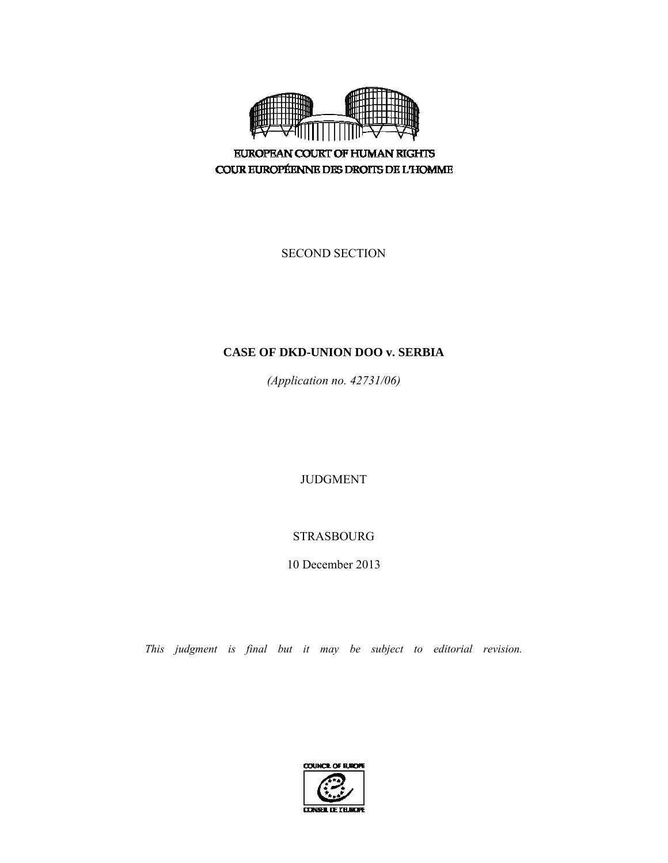

**EUROPEAN COURT OF HUMAN RIGHTS** COUR EUROPÉENNE DES DROITS DE L'HOMME

SECOND SECTION

# **CASE OF DKD-UNION DOO v. SERBIA**

*(Application no. 42731/06)* 

JUDGMENT

STRASBOURG

10 December 2013

*This judgment is final but it may be subject to editorial revision.*

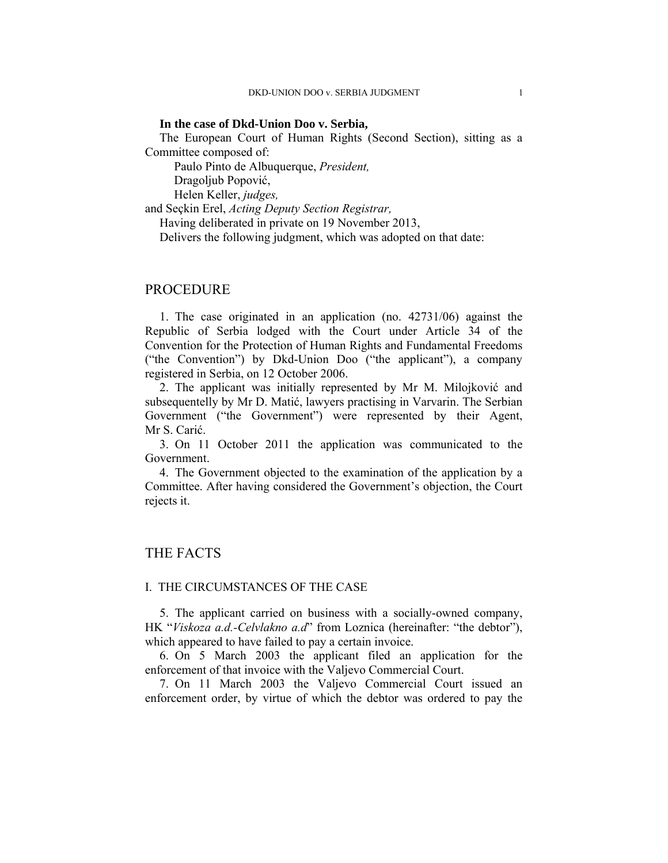## **In the case of Dkd-Union Doo v. Serbia,**

The European Court of Human Rights (Second Section), sitting as a Committee composed of:

Paulo Pinto de Albuquerque, *President,* 

Dragoljub Popović,

Helen Keller, *judges,*

and Seçkin Erel, *Acting Deputy Section Registrar,* 

Having deliberated in private on 19 November 2013,

Delivers the following judgment, which was adopted on that date:

## PROCEDURE

1. The case originated in an application (no. 42731/06) against the Republic of Serbia lodged with the Court under Article 34 of the Convention for the Protection of Human Rights and Fundamental Freedoms ("the Convention") by Dkd-Union Doo ("the applicant"), a company registered in Serbia, on 12 October 2006.

2. The applicant was initially represented by Mr M. Milojković and subsequentelly by Mr D. Matić, lawyers practising in Varvarin. The Serbian Government ("the Government") were represented by their Agent, Mr S. Carić.

3. On 11 October 2011 the application was communicated to the Government.

4. The Government objected to the examination of the application by a Committee. After having considered the Government's objection, the Court rejects it.

## THE FACTS

## I. THE CIRCUMSTANCES OF THE CASE

5. The applicant carried on business with a socially-owned company, HK "*Viskoza a.d.-Celvlakno a.d*" from Loznica (hereinafter: "the debtor"), which appeared to have failed to pay a certain invoice.

6. On 5 March 2003 the applicant filed an application for the enforcement of that invoice with the Valjevo Commercial Court.

7. On 11 March 2003 the Valjevo Commercial Court issued an enforcement order, by virtue of which the debtor was ordered to pay the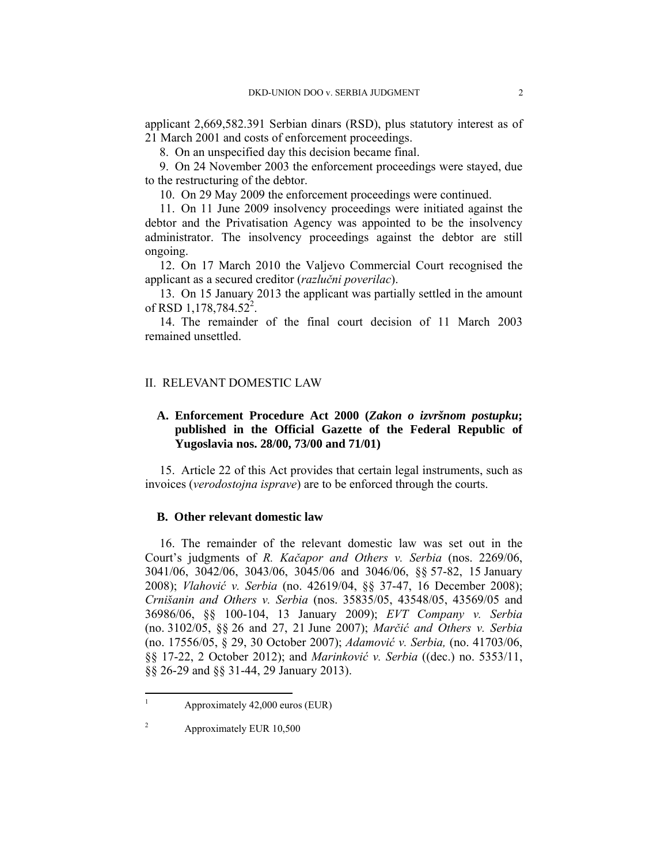applicant 2,669,582.391 Serbian dinars (RSD), plus statutory interest as of 21 March 2001 and costs of enforcement proceedings.

8. On an unspecified day this decision became final.

9. On 24 November 2003 the enforcement proceedings were stayed, due to the restructuring of the debtor.

10. On 29 May 2009 the enforcement proceedings were continued.

11. On 11 June 2009 insolvency proceedings were initiated against the debtor and the Privatisation Agency was appointed to be the insolvency administrator. The insolvency proceedings against the debtor are still ongoing.

12. On 17 March 2010 the Valjevo Commercial Court recognised the applicant as a secured creditor (*razlučni poverilac*).

13. On 15 January 2013 the applicant was partially settled in the amount of RSD 1,178,784.52<sup>2</sup>.

14. The remainder of the final court decision of 11 March 2003 remained unsettled.

## II. RELEVANT DOMESTIC LAW

## **A. Enforcement Procedure Act 2000 (***Zakon o izvršnom postupku***; published in the Official Gazette of the Federal Republic of Yugoslavia nos. 28/00, 73/00 and 71/01)**

15. Article 22 of this Act provides that certain legal instruments, such as invoices (*verodostojna isprave*) are to be enforced through the courts.

### **B. Other relevant domestic law**

16. The remainder of the relevant domestic law was set out in the Court's judgments of *R. Kačapor and Others v. Serbia* (nos. 2269/06, 3041/06, 3042/06, 3043/06, 3045/06 and 3046/06, §§ 57-82, 15 January 2008); *Vlahović v. Serbia* (no. 42619/04, §§ 37-47, 16 December 2008); *Crnišanin and Others v. Serbia* (nos. 35835/05, 43548/05, 43569/05 and 36986/06, §§ 100-104, 13 January 2009); *EVT Company v. Serbia* (no. 3102/05, §§ 26 and 27, 21 June 2007); *Marčić and Others v. Serbia* (no. 17556/05, § 29, 30 October 2007); *Adamović v. Serbia,* (no. 41703/06, §§ 17-22, 2 October 2012); and *Marinković v. Serbia* ((dec.) no. 5353/11, §§ 26-29 and §§ 31-44, 29 January 2013).

 $\frac{1}{1}$ 

Approximately 42,000 euros (EUR)

<sup>2</sup> Approximately EUR 10,500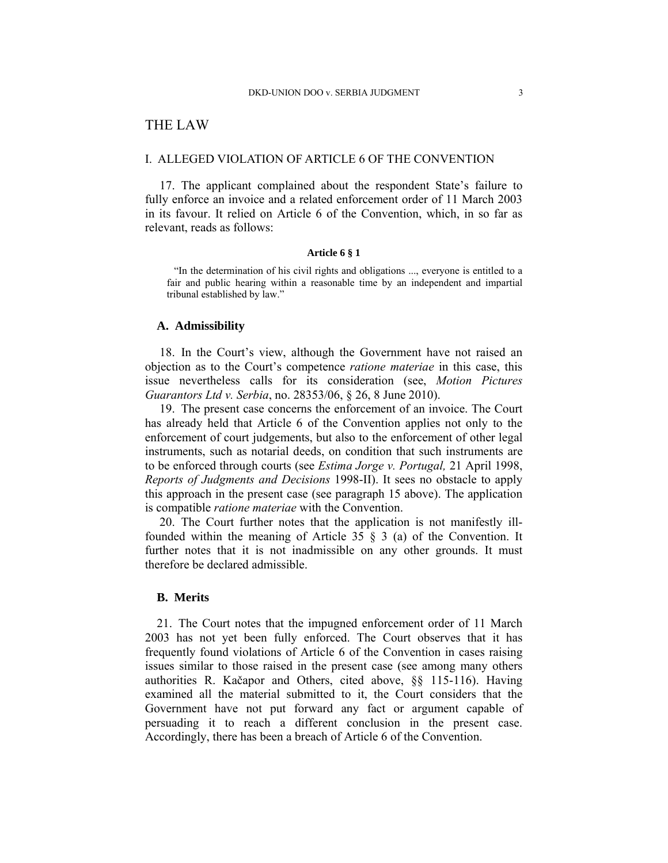# THE LAW

## I. ALLEGED VIOLATION OF ARTICLE 6 OF THE CONVENTION

17. The applicant complained about the respondent State's failure to fully enforce an invoice and a related enforcement order of 11 March 2003 in its favour. It relied on Article 6 of the Convention, which, in so far as relevant, reads as follows:

#### **Article 6 § 1**

"In the determination of his civil rights and obligations ..., everyone is entitled to a fair and public hearing within a reasonable time by an independent and impartial tribunal established by law."

## **A. Admissibility**

18. In the Court's view, although the Government have not raised an objection as to the Court's competence *ratione materiae* in this case, this issue nevertheless calls for its consideration (see, *Motion Pictures Guarantors Ltd v. Serbia*, no. 28353/06, § 26, 8 June 2010).

19. The present case concerns the enforcement of an invoice. The Court has already held that Article 6 of the Convention applies not only to the enforcement of court judgements, but also to the enforcement of other legal instruments, such as notarial deeds, on condition that such instruments are to be enforced through courts (see *Estima Jorge v. Portugal,* 21 April 1998, *Reports of Judgments and Decisions* 1998-II). It sees no obstacle to apply this approach in the present case (see paragraph 15 above). The application is compatible *ratione materiae* with the Convention.

20. The Court further notes that the application is not manifestly illfounded within the meaning of Article 35 § 3 (a) of the Convention. It further notes that it is not inadmissible on any other grounds. It must therefore be declared admissible.

## **B. Merits**

21. The Court notes that the impugned enforcement order of 11 March 2003 has not yet been fully enforced. The Court observes that it has frequently found violations of Article 6 of the Convention in cases raising issues similar to those raised in the present case (see among many others authorities R. Kačapor and Others, cited above, §§ 115-116). Having examined all the material submitted to it, the Court considers that the Government have not put forward any fact or argument capable of persuading it to reach a different conclusion in the present case. Accordingly, there has been a breach of Article 6 of the Convention.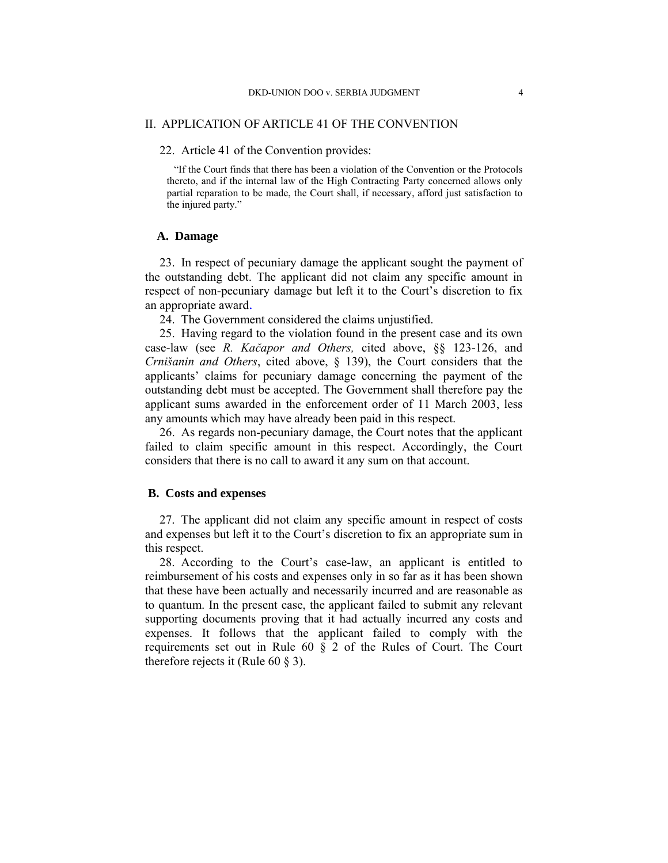## II. APPLICATION OF ARTICLE 41 OF THE CONVENTION

## 22. Article 41 of the Convention provides:

"If the Court finds that there has been a violation of the Convention or the Protocols thereto, and if the internal law of the High Contracting Party concerned allows only partial reparation to be made, the Court shall, if necessary, afford just satisfaction to the injured party."

## **A. Damage**

23. In respect of pecuniary damage the applicant sought the payment of the outstanding debt. The applicant did not claim any specific amount in respect of non-pecuniary damage but left it to the Court's discretion to fix an appropriate award*.* 

24. The Government considered the claims unjustified.

25. Having regard to the violation found in the present case and its own case-law (see *R. Kačapor and Others,* cited above, §§ 123-126, and *Crnišanin and Others*, cited above, § 139), the Court considers that the applicants' claims for pecuniary damage concerning the payment of the outstanding debt must be accepted. The Government shall therefore pay the applicant sums awarded in the enforcement order of 11 March 2003, less any amounts which may have already been paid in this respect.

26. As regards non-pecuniary damage, the Court notes that the applicant failed to claim specific amount in this respect. Accordingly, the Court considers that there is no call to award it any sum on that account.

## **B. Costs and expenses**

27. The applicant did not claim any specific amount in respect of costs and expenses but left it to the Court's discretion to fix an appropriate sum in this respect.

28. According to the Court's case-law, an applicant is entitled to reimbursement of his costs and expenses only in so far as it has been shown that these have been actually and necessarily incurred and are reasonable as to quantum. In the present case, the applicant failed to submit any relevant supporting documents proving that it had actually incurred any costs and expenses. It follows that the applicant failed to comply with the requirements set out in Rule 60 § 2 of the Rules of Court. The Court therefore rejects it (Rule  $60 \text{ } \text{\&} 3$ ).